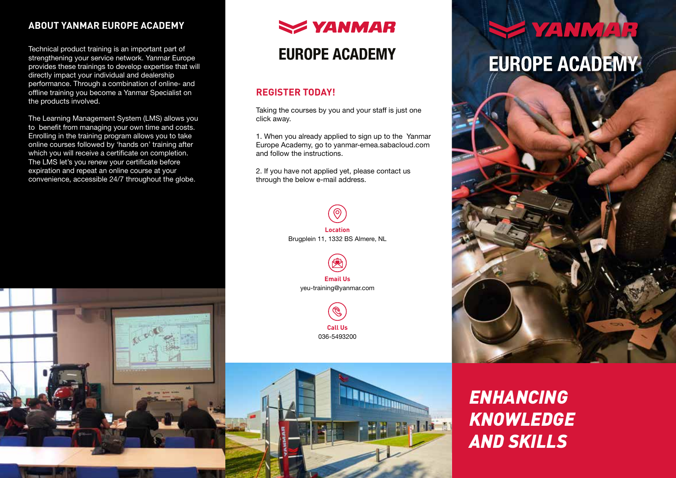## **ABOUT YANMAR EUROPE ACADEMY**

Technical product training is an important part of strengthening your service network. Yanmar Europe provides these trainings to develop expertise that will directly impact your individual and dealership performance. Through a combination of online- and offline training you become a Yanmar Specialist on the products involved.

The Learning Management System (LMS) allows you to benefit from managing your own time and costs. Enrolling in the training program allows you to take online courses followed by 'hands on' training after which you will receive a certificate on completion. The LMS let's you renew your certificate before expiration and repeat an online course at your convenience, accessible 24/7 throughout the globe.



## **EUROPE ACADEMY**

### **REGISTER TODAY!**

Taking the courses by you and your staff is just one click away.

1. When you already applied to sign up to the Yanmar Europe Academy, go to yanmar-emea.sabacloud.com and follow the instructions.

2. If you have not applied yet, please contact us through the below e-mail address.









# **E YANMAR EUROPE ACADEMY**



*ENHANCING KNOWLEDGE AND SKILLS*